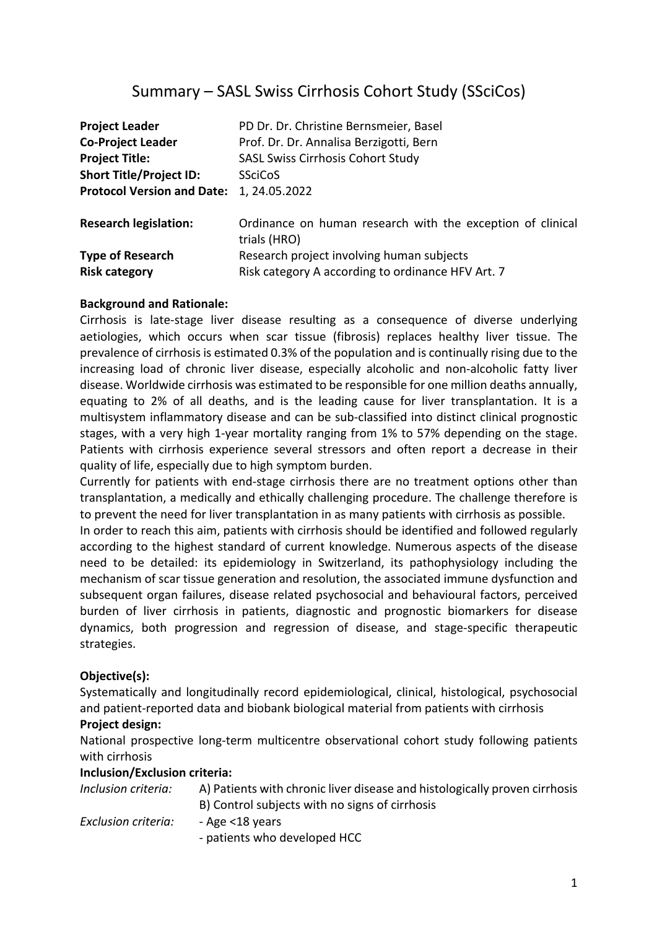# Summary – SASL Swiss Cirrhosis Cohort Study (SSciCos)

| <b>Project Leader</b>             | PD Dr. Dr. Christine Bernsmeier, Basel                                     |
|-----------------------------------|----------------------------------------------------------------------------|
| <b>Co-Project Leader</b>          | Prof. Dr. Dr. Annalisa Berzigotti, Bern                                    |
| <b>Project Title:</b>             | SASL Swiss Cirrhosis Cohort Study                                          |
| <b>Short Title/Project ID:</b>    | <b>SSciCoS</b>                                                             |
| <b>Protocol Version and Date:</b> | 1, 24.05.2022                                                              |
| <b>Research legislation:</b>      | Ordinance on human research with the exception of clinical<br>trials (HRO) |
| <b>Type of Research</b>           | Research project involving human subjects                                  |
| <b>Risk category</b>              | Risk category A according to ordinance HFV Art. 7                          |

### **Background and Rationale:**

Cirrhosis is late-stage liver disease resulting as a consequence of diverse underlying aetiologies, which occurs when scar tissue (fibrosis) replaces healthy liver tissue. The prevalence of cirrhosis is estimated 0.3% of the population and is continually rising due to the increasing load of chronic liver disease, especially alcoholic and non-alcoholic fatty liver disease. Worldwide cirrhosis was estimated to be responsible for one million deaths annually, equating to 2% of all deaths, and is the leading cause for liver transplantation. It is a multisystem inflammatory disease and can be sub-classified into distinct clinical prognostic stages, with a very high 1-year mortality ranging from 1% to 57% depending on the stage. Patients with cirrhosis experience several stressors and often report a decrease in their quality of life, especially due to high symptom burden.

Currently for patients with end-stage cirrhosis there are no treatment options other than transplantation, a medically and ethically challenging procedure. The challenge therefore is to prevent the need for liver transplantation in as many patients with cirrhosis as possible.

In order to reach this aim, patients with cirrhosis should be identified and followed regularly according to the highest standard of current knowledge. Numerous aspects of the disease need to be detailed: its epidemiology in Switzerland, its pathophysiology including the mechanism of scar tissue generation and resolution, the associated immune dysfunction and subsequent organ failures, disease related psychosocial and behavioural factors, perceived burden of liver cirrhosis in patients, diagnostic and prognostic biomarkers for disease dynamics, both progression and regression of disease, and stage-specific therapeutic strategies.

## **Objective(s):**

Systematically and longitudinally record epidemiological, clinical, histological, psychosocial and patient-reported data and biobank biological material from patients with cirrhosis

#### **Project design:**

National prospective long-term multicentre observational cohort study following patients with cirrhosis

#### **Inclusion/Exclusion criteria:**

| Inclusion criteria: | A) Patients with chronic liver disease and histologically proven cirrhosis |
|---------------------|----------------------------------------------------------------------------|
|                     | B) Control subjects with no signs of cirrhosis                             |
| Exclusion criteria: | - Age <18 years                                                            |
|                     | - patients who developed HCC                                               |